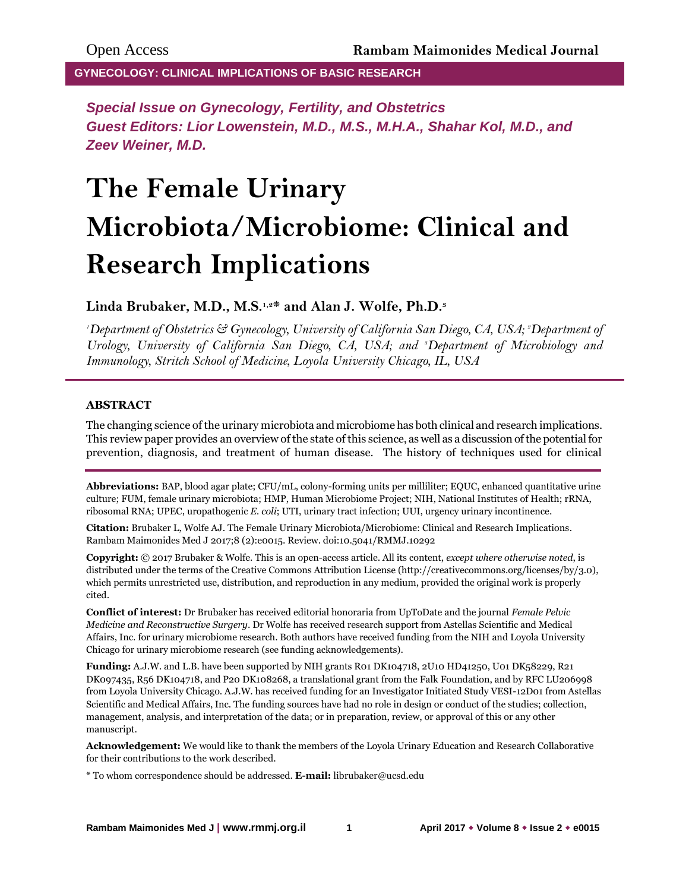**GYNECOLOGY: CLINICAL IMPLICATIONS OF BASIC RESEARCH**

*Special Issue on Gynecology, Fertility, and Obstetrics Guest Editors: Lior Lowenstein, M.D., M.S., M.H.A., Shahar Kol, M.D., and Zeev Weiner, M.D.*

# **The Female Urinary Microbiota/Microbiome: Clinical and Research Implications**

**Linda Brubaker, M.D., M.S.1,2\* and Alan J. Wolfe, Ph.D.<sup>3</sup>**

*<sup>1</sup>Department of Obstetrics & Gynecology, University of California San Diego, CA, USA; 2Department of Urology, University of California San Diego, CA, USA; and 3Department of Microbiology and Immunology, Stritch School of Medicine, Loyola University Chicago, IL, USA*

### **ABSTRACT**

The changing science of the urinary microbiota and microbiome has both clinical and research implications. This review paper provides an overview of the state of this science, as well as a discussion of the potential for prevention, diagnosis, and treatment of human disease. The history of techniques used for clinical

**Abbreviations:** BAP, blood agar plate; CFU/mL, colony-forming units per milliliter; EQUC, enhanced quantitative urine culture; FUM, female urinary microbiota; HMP, Human Microbiome Project; NIH, National Institutes of Health; rRNA, ribosomal RNA; UPEC, uropathogenic *E. coli*; UTI, urinary tract infection; UUI, urgency urinary incontinence.

**Citation:** Brubaker L, Wolfe AJ. The Female Urinary Microbiota/Microbiome: Clinical and Research Implications. Rambam Maimonides Med J 2017;8 (2):e0015. Review. doi:10.5041/RMMJ.10292

**Copyright:** © 2017 Brubaker & Wolfe. This is an open-access article. All its content, *except where otherwise noted*, is distributed under the terms of the Creative Commons Attribution License (http://creativecommons.org/licenses/by/3.0), which permits unrestricted use, distribution, and reproduction in any medium, provided the original work is properly cited.

**Conflict of interest:** Dr Brubaker has received editorial honoraria from UpToDate and the journal *Female Pelvic Medicine and Reconstructive Surgery*. Dr Wolfe has received research support from Astellas Scientific and Medical Affairs, Inc. for urinary microbiome research. Both authors have received funding from the NIH and Loyola University Chicago for urinary microbiome research (see funding acknowledgements).

**Funding:** A.J.W. and L.B. have been supported by NIH grants R01 DK104718, 2U10 HD41250, U01 DK58229, R21 DK097435, R56 DK104718, and P20 DK108268, a translational grant from the Falk Foundation, and by RFC LU206998 from Loyola University Chicago. A.J.W. has received funding for an Investigator Initiated Study VESI-12D01 from Astellas Scientific and Medical Affairs, Inc. The funding sources have had no role in design or conduct of the studies; collection, management, analysis, and interpretation of the data; or in preparation, review, or approval of this or any other manuscript.

**Acknowledgement:** We would like to thank the members of the Loyola Urinary Education and Research Collaborative for their contributions to the work described.

\* To whom correspondence should be addressed. **E-mail:** librubaker@ucsd.edu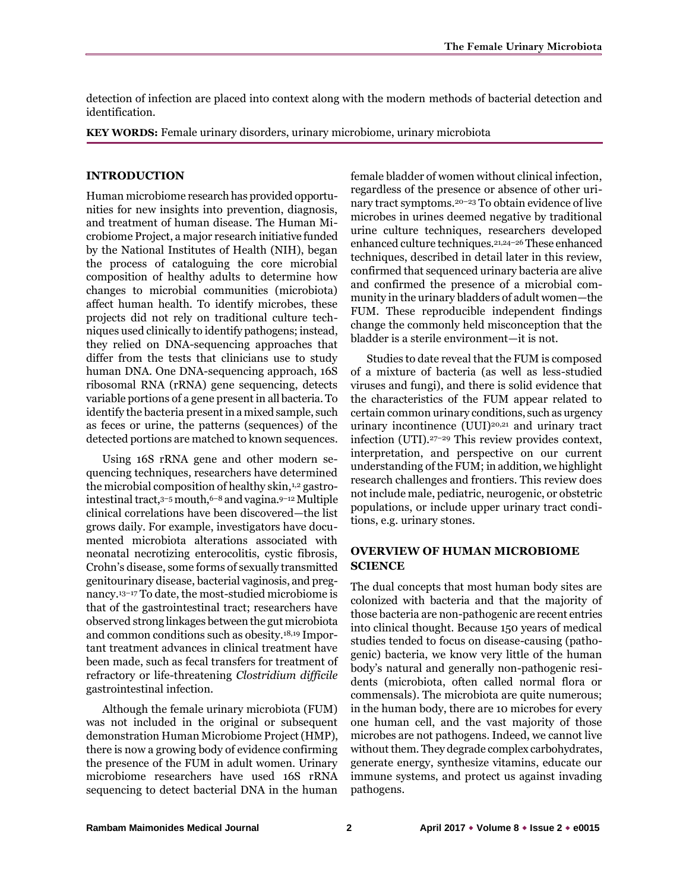detection of infection are placed into context along with the modern methods of bacterial detection and identification.

**KEY WORDS:** Female urinary disorders, urinary microbiome, urinary microbiota

#### **INTRODUCTION**

Human microbiome research has provided opportunities for new insights into prevention, diagnosis, and treatment of human disease. The Human Microbiome Project, a major research initiative funded by the National Institutes of Health (NIH), began the process of cataloguing the core microbial composition of healthy adults to determine how changes to microbial communities (microbiota) affect human health. To identify microbes, these projects did not rely on traditional culture techniques used clinically to identify pathogens; instead, they relied on DNA-sequencing approaches that differ from the tests that clinicians use to study human DNA. One DNA-sequencing approach, 16S ribosomal RNA (rRNA) gene sequencing, detects variable portions of a gene present in all bacteria. To identify the bacteria present in a mixed sample, such as feces or urine, the patterns (sequences) of the detected portions are matched to known sequences.

Using 16S rRNA gene and other modern sequencing techniques, researchers have determined the microbial composition of healthy skin,<sup>1,2</sup> gastrointestinal tract, $3-5$  mouth, $6-8$  and vagina. $9-12$  Multiple clinical correlations have been discovered—the list grows daily. For example, investigators have documented microbiota alterations associated with neonatal necrotizing enterocolitis, cystic fibrosis, Crohn's disease, some forms of sexually transmitted genitourinary disease, bacterial vaginosis, and pregnancy.13–<sup>17</sup> To date, the most-studied microbiome is that of the gastrointestinal tract; researchers have observed strong linkages between the gut microbiota and common conditions such as obesity.18,19 Important treatment advances in clinical treatment have been made, such as fecal transfers for treatment of refractory or life-threatening *Clostridium difficile* gastrointestinal infection.

Although the female urinary microbiota (FUM) was not included in the original or subsequent demonstration Human Microbiome Project(HMP), there is now a growing body of evidence confirming the presence of the FUM in adult women. Urinary microbiome researchers have used 16S rRNA sequencing to detect bacterial DNA in the human

female bladder of women without clinical infection, regardless of the presence or absence of other urinary tract symptoms.20–<sup>23</sup> To obtain evidence of live microbes in urines deemed negative by traditional urine culture techniques, researchers developed enhanced culture techniques.21,24–<sup>26</sup> These enhanced techniques, described in detail later in this review, confirmed that sequenced urinary bacteria are alive and confirmed the presence of a microbial community in the urinary bladders of adult women—the FUM. These reproducible independent findings change the commonly held misconception that the bladder is a sterile environment—it is not.

Studies to date reveal that the FUM is composed of a mixture of bacteria (as well as less-studied viruses and fungi), and there is solid evidence that the characteristics of the FUM appear related to certain common urinary conditions, such as urgency urinary incontinence (UUI)<sup>20,21</sup> and urinary tract infection (UTI).27–<sup>29</sup> This review provides context, interpretation, and perspective on our current understanding of the FUM; in addition, we highlight research challenges and frontiers. This review does not include male, pediatric, neurogenic, or obstetric populations, or include upper urinary tract conditions, e.g. urinary stones.

## **OVERVIEW OF HUMAN MICROBIOME SCIENCE**

The dual concepts that most human body sites are colonized with bacteria and that the majority of those bacteria are non-pathogenic are recent entries into clinical thought. Because 150 years of medical studies tended to focus on disease-causing (pathogenic) bacteria, we know very little of the human body's natural and generally non-pathogenic residents (microbiota, often called normal flora or commensals). The microbiota are quite numerous; in the human body, there are 10 microbes for every one human cell, and the vast majority of those microbes are not pathogens. Indeed, we cannot live without them. They degrade complex carbohydrates, generate energy, synthesize vitamins, educate our immune systems, and protect us against invading pathogens.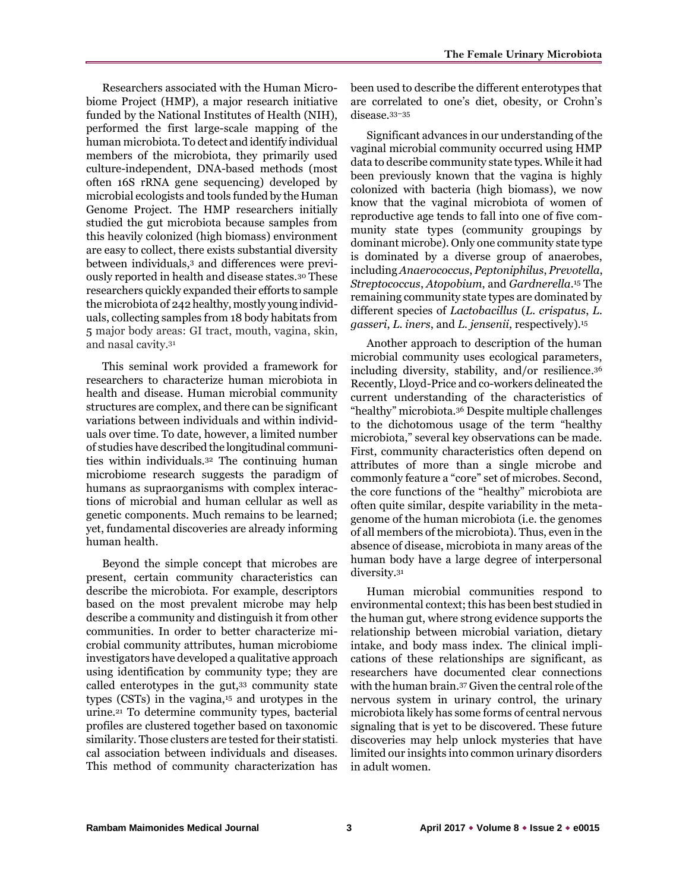Researchers associated with the Human Microbiome Project (HMP), a major research initiative funded by the National Institutes of Health (NIH), performed the first large-scale mapping of the human microbiota. To detect and identify individual members of the microbiota, they primarily used culture-independent, DNA-based methods (most often 16S rRNA gene sequencing) developed by microbial ecologists and tools funded by the Human Genome Project. The HMP researchers initially studied the gut microbiota because samples from this heavily colonized (high biomass) environment are easy to collect, there exists substantial diversity between individuals,<sup>3</sup> and differences were previously reported in health and disease states.<sup>30</sup> These researchers quickly expanded their efforts to sample the microbiota of 242 healthy, mostly young individuals, collecting samples from 18 body habitats from 5 major body areas: GI tract, mouth, vagina, skin, and nasal cavity.<sup>31</sup>

This seminal work provided a framework for researchers to characterize human microbiota in health and disease. Human microbial community structures are complex, and there can be significant variations between individuals and within individuals over time. To date, however, a limited number of studies have described the longitudinal communities within individuals.<sup>32</sup> The continuing human microbiome research suggests the paradigm of humans as supraorganisms with complex interactions of microbial and human cellular as well as genetic components. Much remains to be learned; yet, fundamental discoveries are already informing human health.

Beyond the simple concept that microbes are present, certain community characteristics can describe the microbiota. For example, descriptors based on the most prevalent microbe may help describe a community and distinguish it from other communities. In order to better characterize microbial community attributes, human microbiome investigators have developed a qualitative approach using identification by community type; they are called enterotypes in the gut,<sup>33</sup> community state types (CSTs) in the vagina,<sup>15</sup> and urotypes in the urine.<sup>21</sup> To determine community types, bacterial profiles are clustered together based on taxonomic similarity. Those clusters are tested for their statistical association between individuals and diseases. This method of community characterization has

been used to describe the different enterotypes that are correlated to one's diet, obesity, or Crohn's disease.33–<sup>35</sup>

Significant advances in our understanding of the vaginal microbial community occurred using HMP data to describe community state types. While it had been previously known that the vagina is highly colonized with bacteria (high biomass), we now know that the vaginal microbiota of women of reproductive age tends to fall into one of five community state types (community groupings by dominant microbe). Only one community state type is dominated by a diverse group of anaerobes, including *Anaerococcus*, *Peptoniphilus*, *Prevotella*, *Streptococcus*, *Atopobium*, and *Gardnerella*. <sup>15</sup> The remaining community state types are dominated by different species of *Lactobacillus* (*L. crispatus*, *L. gasseri*, *L. iners*, and *L. jensenii*, respectively). 15

Another approach to description of the human microbial community uses ecological parameters, including diversity, stability, and/or resilience. 36 Recently, Lloyd-Price and co-workers delineated the current understanding of the characteristics of "healthy" microbiota.<sup>36</sup> Despite multiple challenges to the dichotomous usage of the term "healthy microbiota," several key observations can be made. First, community characteristics often depend on attributes of more than a single microbe and commonly feature a "core" set of microbes. Second, the core functions of the "healthy" microbiota are often quite similar, despite variability in the metagenome of the human microbiota (i.e. the genomes of all members of the microbiota). Thus, even in the absence of disease, microbiota in many areas of the human body have a large degree of interpersonal diversity.<sup>31</sup>

Human microbial communities respond to environmental context; this has been best studied in the human gut, where strong evidence supports the relationship between microbial variation, dietary intake, and body mass index. The clinical implications of these relationships are significant, as researchers have documented clear connections with the human brain.<sup>37</sup> Given the central role of the nervous system in urinary control, the urinary microbiota likely has some forms of central nervous signaling that is yet to be discovered. These future discoveries may help unlock mysteries that have limited our insights into common urinary disorders in adult women.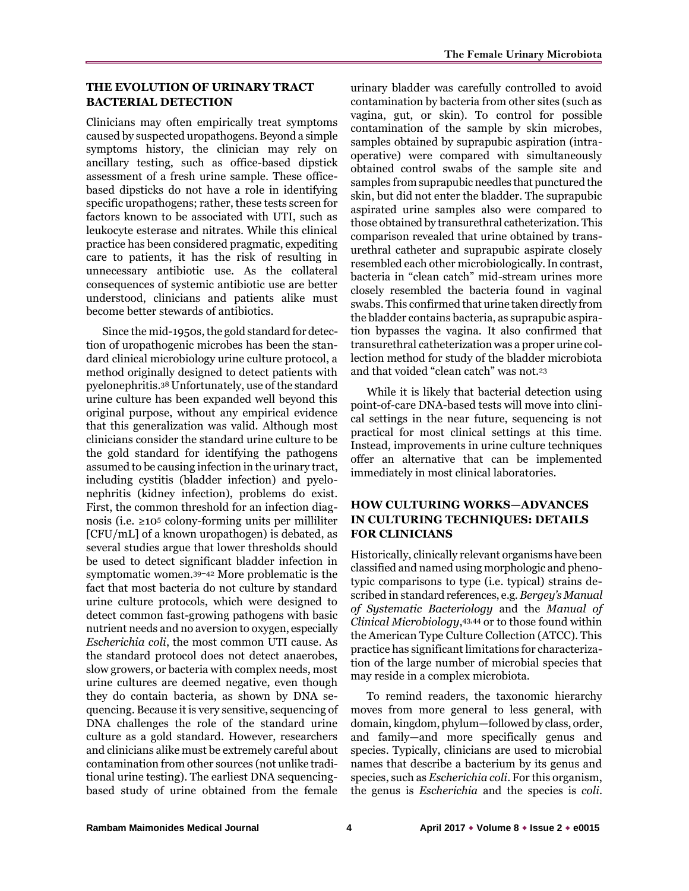# **THE EVOLUTION OF URINARY TRACT BACTERIAL DETECTION**

Clinicians may often empirically treat symptoms caused by suspected uropathogens. Beyond a simple symptoms history, the clinician may rely on ancillary testing, such as office-based dipstick assessment of a fresh urine sample. These officebased dipsticks do not have a role in identifying specific uropathogens; rather, these tests screen for factors known to be associated with UTI, such as leukocyte esterase and nitrates. While this clinical practice has been considered pragmatic, expediting care to patients, it has the risk of resulting in unnecessary antibiotic use. As the collateral consequences of systemic antibiotic use are better understood, clinicians and patients alike must become better stewards of antibiotics.

Since the mid-1950s, the gold standard for detection of uropathogenic microbes has been the standard clinical microbiology urine culture protocol, a method originally designed to detect patients with pyelonephritis.<sup>38</sup> Unfortunately, use of the standard urine culture has been expanded well beyond this original purpose, without any empirical evidence that this generalization was valid. Although most clinicians consider the standard urine culture to be the gold standard for identifying the pathogens assumed to be causing infection in the urinary tract, including cystitis (bladder infection) and pyelonephritis (kidney infection), problems do exist. First, the common threshold for an infection diagnosis (i.e.  $\geq 10^5$  colony-forming units per milliliter [CFU/mL] of a known uropathogen) is debated, as several studies argue that lower thresholds should be used to detect significant bladder infection in symptomatic women.39–<sup>42</sup> More problematic is the fact that most bacteria do not culture by standard urine culture protocols, which were designed to detect common fast-growing pathogens with basic nutrient needs and no aversion to oxygen, especially *Escherichia coli*, the most common UTI cause. As the standard protocol does not detect anaerobes, slow growers, or bacteria with complex needs, most urine cultures are deemed negative, even though they do contain bacteria, as shown by DNA sequencing. Because it is very sensitive, sequencing of DNA challenges the role of the standard urine culture as a gold standard. However, researchers and clinicians alike must be extremely careful about contamination from other sources (not unlike traditional urine testing). The earliest DNA sequencingbased study of urine obtained from the female

urinary bladder was carefully controlled to avoid contamination by bacteria from other sites (such as vagina, gut, or skin). To control for possible contamination of the sample by skin microbes, samples obtained by suprapubic aspiration (intraoperative) were compared with simultaneously obtained control swabs of the sample site and samples from suprapubic needles that punctured the skin, but did not enter the bladder. The suprapubic aspirated urine samples also were compared to those obtained by transurethral catheterization. This comparison revealed that urine obtained by transurethral catheter and suprapubic aspirate closely resembled each other microbiologically. In contrast, bacteria in "clean catch" mid-stream urines more closely resembled the bacteria found in vaginal swabs. This confirmed that urine taken directly from the bladder contains bacteria, as suprapubic aspiration bypasses the vagina. It also confirmed that transurethral catheterization was a proper urine collection method for study of the bladder microbiota and that voided "clean catch" was not.<sup>23</sup>

While it is likely that bacterial detection using point-of-care DNA-based tests will move into clinical settings in the near future, sequencing is not practical for most clinical settings at this time. Instead, improvements in urine culture techniques offer an alternative that can be implemented immediately in most clinical laboratories.

# **HOW CULTURING WORKS—ADVANCES IN CULTURING TECHNIQUES: DETAILS FOR CLINICIANS**

Historically, clinically relevant organisms have been classified and named using morphologic and phenotypic comparisons to type (i.e. typical) strains described in standard references, e.g. *Bergey's Manual of Systematic Bacteriology* and the *Manual of Clinical Microbiology*, 43,44 or to those found within the American Type Culture Collection (ATCC). This practice has significant limitations for characterization of the large number of microbial species that may reside in a complex microbiota.

To remind readers, the taxonomic hierarchy moves from more general to less general, with domain, kingdom, phylum—followed by class, order, and family—and more specifically genus and species. Typically, clinicians are used to microbial names that describe a bacterium by its genus and species, such as *Escherichia coli*. For this organism, the genus is *[Escherichia](https://en.wikipedia.org/wiki/Escherichia)* and the species is *coli*.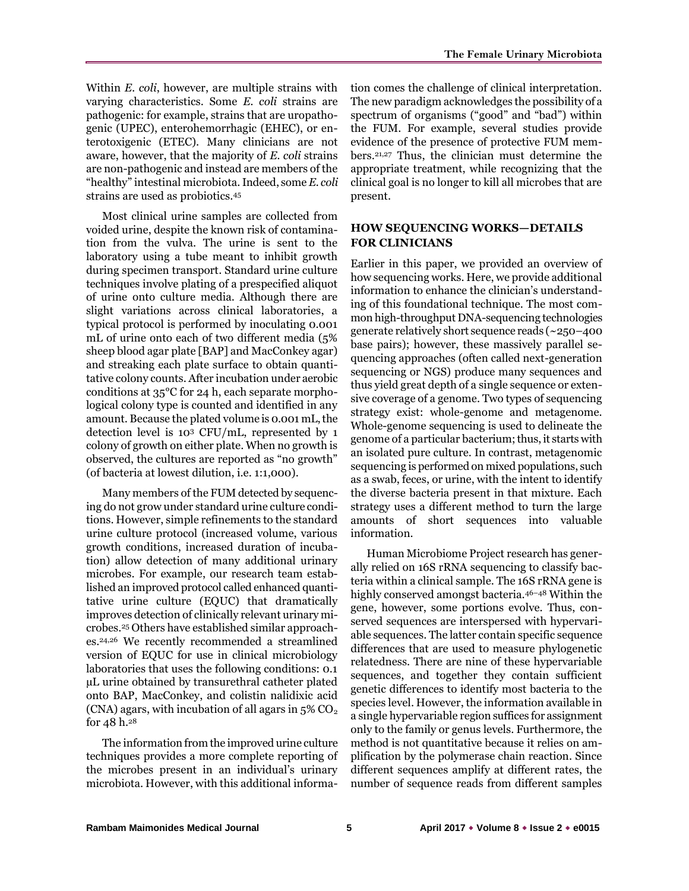Within *E. coli*, however, are multiple strains with varying characteristics. Some *E. coli* strains are pathogenic: for example, strains that are uropathogenic (UPEC), enterohemorrhagic (EHEC), or enterotoxigenic (ETEC). Many clinicians are not aware, however, that the majority of *E. coli* strains are non-pathogenic and instead are members of the "healthy" intestinal microbiota. Indeed, some *E. coli* strains are used as probiotics.<sup>45</sup>

Most clinical urine samples are collected from voided urine, despite the known risk of contamination from the vulva. The urine is sent to the laboratory using a tube meant to inhibit growth during specimen transport. Standard urine culture techniques involve plating of a prespecified aliquot of urine onto culture media. Although there are slight variations across clinical laboratories, a typical protocol is performed by inoculating 0.001 mL of urine onto each of two different media (5% sheep blood agar plate [BAP] and MacConkey agar) and streaking each plate surface to obtain quantitative colony counts. After incubation under aerobic conditions at 35°C for 24 h, each separate morphological colony type is counted and identified in any amount. Because the plated volume is 0.001 mL, the detection level is 10<sup>3</sup> CFU/mL, represented by 1 colony of growth on either plate. When no growth is observed, the cultures are reported as "no growth" (of bacteria at lowest dilution, i.e. 1:1,000).

Many members of the FUM detected by sequencing do not grow under standard urine culture conditions. However, simple refinements to the standard urine culture protocol (increased volume, various growth conditions, increased duration of incubation) allow detection of many additional urinary microbes. For example, our research team established an improved protocol called enhanced quantitative urine culture (EQUC) that dramatically improves detection of clinically relevant urinary microbes.<sup>25</sup> Others have established similar approaches.24,26 We recently recommended a streamlined version of EQUC for use in clinical microbiology laboratories that uses the following conditions: 0.1 µL urine obtained by transurethral catheter plated onto BAP, MacConkey, and colistin nalidixic acid (CNA) agars, with incubation of all agars in  $5\%$  CO<sub>2</sub> for 48 h. 28

The information from the improved urine culture techniques provides a more complete reporting of the microbes present in an individual's urinary microbiota. However, with this additional information comes the challenge of clinical interpretation. The new paradigm acknowledges the possibility of a spectrum of organisms ("good" and "bad") within the FUM. For example, several studies provide evidence of the presence of protective FUM members.21,27 Thus, the clinician must determine the appropriate treatment, while recognizing that the clinical goal is no longer to kill all microbes that are present.

# **HOW SEQUENCING WORKS—DETAILS FOR CLINICIANS**

Earlier in this paper, we provided an overview of how sequencing works. Here, we provide additional information to enhance the clinician's understanding of this foundational technique. The most common high-throughput DNA-sequencing technologies generate relatively short sequence reads (~250–400 base pairs); however, these massively parallel sequencing approaches (often called next-generation sequencing or NGS) produce many sequences and thus yield great depth of a single sequence or extensive coverage of a genome. Two types of sequencing strategy exist: whole-genome and metagenome. Whole-genome sequencing is used to delineate the genome of a particular bacterium; thus, it starts with an isolated pure culture. In contrast, metagenomic sequencing is performed on mixed populations, such as a swab, feces, or urine, with the intent to identify the diverse bacteria present in that mixture. Each strategy uses a different method to turn the large amounts of short sequences into valuable information.

Human Microbiome Project research has generally relied on 16S rRNA sequencing to classify bacteria within a clinical sample. The 16S rRNA gene is highly conserved amongst bacteria.46–<sup>48</sup> Within the gene, however, some portions evolve. Thus, conserved sequences are interspersed with hypervariable sequences. The latter contain specific sequence differences that are used to measure phylogenetic relatedness. There are nine of these hypervariable sequences, and together they contain sufficient genetic differences to identify most bacteria to the species level. However, the information available in a single hypervariable region suffices for assignment only to the family or genus levels. Furthermore, the method is not quantitative because it relies on amplification by the polymerase chain reaction. Since different sequences amplify at different rates, the number of sequence reads from different samples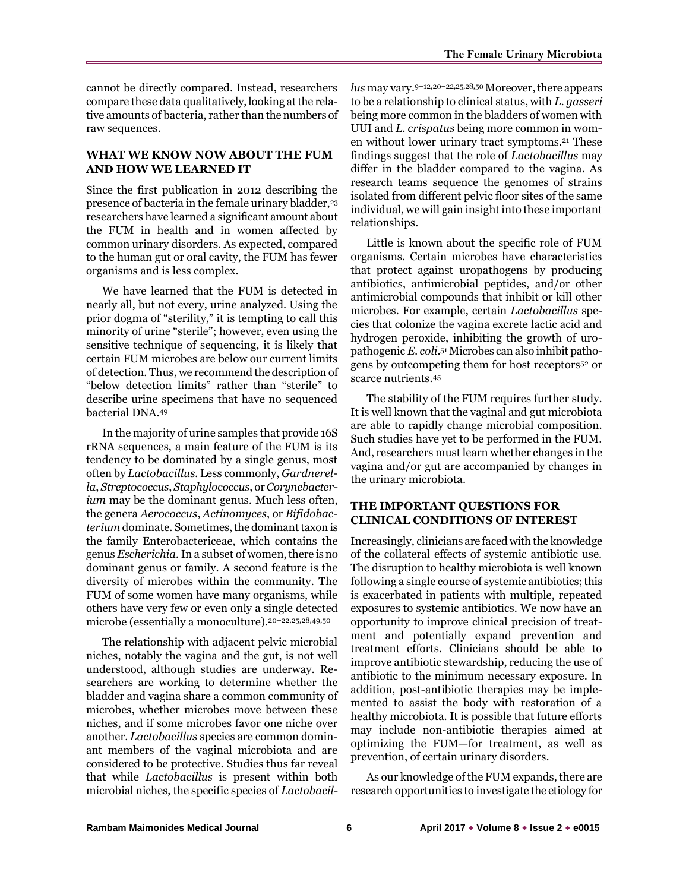cannot be directly compared. Instead, researchers compare these data qualitatively, looking at the relative amounts of bacteria, rather than the numbers of raw sequences.

### **WHAT WE KNOW NOW ABOUT THE FUM AND HOW WE LEARNED IT**

Since the first publication in 2012 describing the presence of bacteria in the female urinary bladder,<sup>23</sup> researchers have learned a significant amount about the FUM in health and in women affected by common urinary disorders. As expected, compared to the human gut or oral cavity, the FUM has fewer organisms and is less complex.

We have learned that the FUM is detected in nearly all, but not every, urine analyzed. Using the prior dogma of "sterility," it is tempting to call this minority of urine "sterile"; however, even using the sensitive technique of sequencing, it is likely that certain FUM microbes are below our current limits of detection. Thus, we recommend the description of "below detection limits" rather than "sterile" to describe urine specimens that have no sequenced bacterial DNA.<sup>49</sup>

In the majority of urine samples that provide 16S rRNA sequences, a main feature of the FUM is its tendency to be dominated by a single genus, most often by *Lactobacillus.* Less commonly, *Gardnerella*, *Streptococcus*, *Staphylococcus*, or *Corynebacterium* may be the dominant genus*.* Much less often, the genera *Aerococcus*, *Actinomyces*, or *Bifidobacterium* dominate. Sometimes, the dominant taxon is the family Enterobactericeae, which contains the genus *Escherichia.* In a subset of women, there is no dominant genus or family. A second feature is the diversity of microbes within the community. The FUM of some women have many organisms, while others have very few or even only a single detected microbe (essentially a monoculture).<sup>20-22,25,28,49,50</sup>

The relationship with adjacent pelvic microbial niches, notably the vagina and the gut, is not well understood, although studies are underway. Researchers are working to determine whether the bladder and vagina share a common community of microbes, whether microbes move between these niches, and if some microbes favor one niche over another. *Lactobacillus* species are common dominant members of the vaginal microbiota and are considered to be protective. Studies thus far reveal that while *Lactobacillus* is present within both microbial niches, the specific species of *Lactobacil-*

lus may vary.<sup>9-12,20-22,25,28,50</sup> Moreover, there appears to be a relationship to clinical status, with *L. gasseri* being more common in the bladders of women with UUI and *L. crispatus* being more common in women without lower urinary tract symptoms.<sup>21</sup> These findings suggest that the role of *Lactobacillus* may differ in the bladder compared to the vagina. As research teams sequence the genomes of strains isolated from different pelvic floor sites of the same individual, we will gain insight into these important relationships.

Little is known about the specific role of FUM organisms. Certain microbes have characteristics that protect against uropathogens by producing antibiotics, antimicrobial peptides, and/or other antimicrobial compounds that inhibit or kill other microbes. For example, certain *Lactobacillus* species that colonize the vagina excrete lactic acid and hydrogen peroxide, inhibiting the growth of uropathogenic *E. coli*. 51Microbes can also inhibit pathogens by outcompeting them for host receptors<sup>52</sup> or scarce nutrients.<sup>45</sup>

The stability of the FUM requires further study. It is well known that the vaginal and gut microbiota are able to rapidly change microbial composition. Such studies have yet to be performed in the FUM. And, researchers must learn whether changes in the vagina and/or gut are accompanied by changes in the urinary microbiota.

# **THE IMPORTANT QUESTIONS FOR CLINICAL CONDITIONS OF INTEREST**

Increasingly, clinicians are faced with the knowledge of the collateral effects of systemic antibiotic use. The disruption to healthy microbiota is well known following a single course of systemic antibiotics; this is exacerbated in patients with multiple, repeated exposures to systemic antibiotics. We now have an opportunity to improve clinical precision of treatment and potentially expand prevention and treatment efforts. Clinicians should be able to improve antibiotic stewardship, reducing the use of antibiotic to the minimum necessary exposure. In addition, post-antibiotic therapies may be implemented to assist the body with restoration of a healthy microbiota. It is possible that future efforts may include non-antibiotic therapies aimed at optimizing the FUM—for treatment, as well as prevention, of certain urinary disorders.

As our knowledge of the FUM expands, there are research opportunities to investigate the etiology for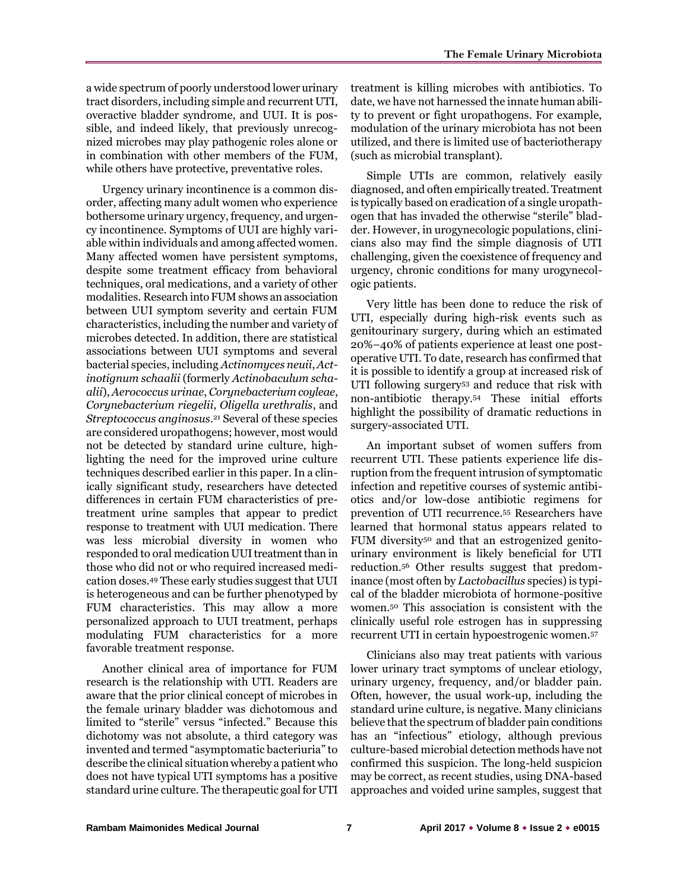a wide spectrum of poorly understood lower urinary tract disorders, including simple and recurrent UTI, overactive bladder syndrome, and UUI. It is possible, and indeed likely, that previously unrecognized microbes may play pathogenic roles alone or in combination with other members of the FUM, while others have protective, preventative roles.

Urgency urinary incontinence is a common disorder, affecting many adult women who experience bothersome urinary urgency, frequency, and urgency incontinence. Symptoms of UUI are highly variable within individuals and among affected women. Many affected women have persistent symptoms, despite some treatment efficacy from behavioral techniques, oral medications, and a variety of other modalities. Research into FUM shows an association between UUI symptom severity and certain FUM characteristics, including the number and variety of microbes detected. In addition, there are statistical associations between UUI symptoms and several bacterial species, including *Actinomyces neuii*, *Actinotignum schaalii* (formerly *Actinobaculum schaalii*), *Aerococcus urinae*, *Corynebacterium coyleae*, *Corynebacterium riegelii*, *Oligella urethralis*, and *Streptococcus anginosus*. <sup>21</sup> Several of these species are considered uropathogens; however, most would not be detected by standard urine culture, highlighting the need for the improved urine culture techniques described earlier in this paper. In a clinically significant study, researchers have detected differences in certain FUM characteristics of pretreatment urine samples that appear to predict response to treatment with UUI medication. There was less microbial diversity in women who responded to oral medication UUI treatment than in those who did not or who required increased medication doses.<sup>49</sup> These early studies suggest that UUI is heterogeneous and can be further phenotyped by FUM characteristics. This may allow a more personalized approach to UUI treatment, perhaps modulating FUM characteristics for a more favorable treatment response.

Another clinical area of importance for FUM research is the relationship with UTI. Readers are aware that the prior clinical concept of microbes in the female urinary bladder was dichotomous and limited to "sterile" versus "infected." Because this dichotomy was not absolute, a third category was invented and termed "asymptomatic bacteriuria" to describe the clinical situation whereby a patient who does not have typical UTI symptoms has a positive standard urine culture. The therapeutic goal for UTI treatment is killing microbes with antibiotics. To date, we have not harnessed the innate human ability to prevent or fight uropathogens. For example, modulation of the urinary microbiota has not been utilized, and there is limited use of bacteriotherapy (such as microbial transplant).

Simple UTIs are common, relatively easily diagnosed, and often empirically treated. Treatment is typically based on eradication of a single uropathogen that has invaded the otherwise "sterile" bladder. However, in urogynecologic populations, clinicians also may find the simple diagnosis of UTI challenging, given the coexistence of frequency and urgency, chronic conditions for many urogynecologic patients.

Very little has been done to reduce the risk of UTI, especially during high-risk events such as genitourinary surgery, during which an estimated 20%–40% of patients experience at least one postoperative UTI. To date, research has confirmed that it is possible to identify a group at increased risk of UTI following surgery<sup>53</sup> and reduce that risk with non-antibiotic therapy.<sup>54</sup> These initial efforts highlight the possibility of dramatic reductions in surgery-associated UTI.

An important subset of women suffers from recurrent UTI. These patients experience life disruption from the frequent intrusion of symptomatic infection and repetitive courses of systemic antibiotics and/or low-dose antibiotic regimens for prevention of UTI recurrence.<sup>55</sup> Researchers have learned that hormonal status appears related to FUM diversity<sup>50</sup> and that an estrogenized genitourinary environment is likely beneficial for UTI reduction.<sup>56</sup> Other results suggest that predominance (most often by *Lactobacillus* species) is typical of the bladder microbiota of hormone-positive women.<sup>50</sup> This association is consistent with the clinically useful role estrogen has in suppressing recurrent UTI in certain hypoestrogenic women.<sup>57</sup>

Clinicians also may treat patients with various lower urinary tract symptoms of unclear etiology, urinary urgency, frequency, and/or bladder pain. Often, however, the usual work-up, including the standard urine culture, is negative. Many clinicians believe that the spectrum of bladder pain conditions has an "infectious" etiology, although previous culture-based microbial detection methods have not confirmed this suspicion. The long-held suspicion may be correct, as recent studies, using DNA-based approaches and voided urine samples, suggest that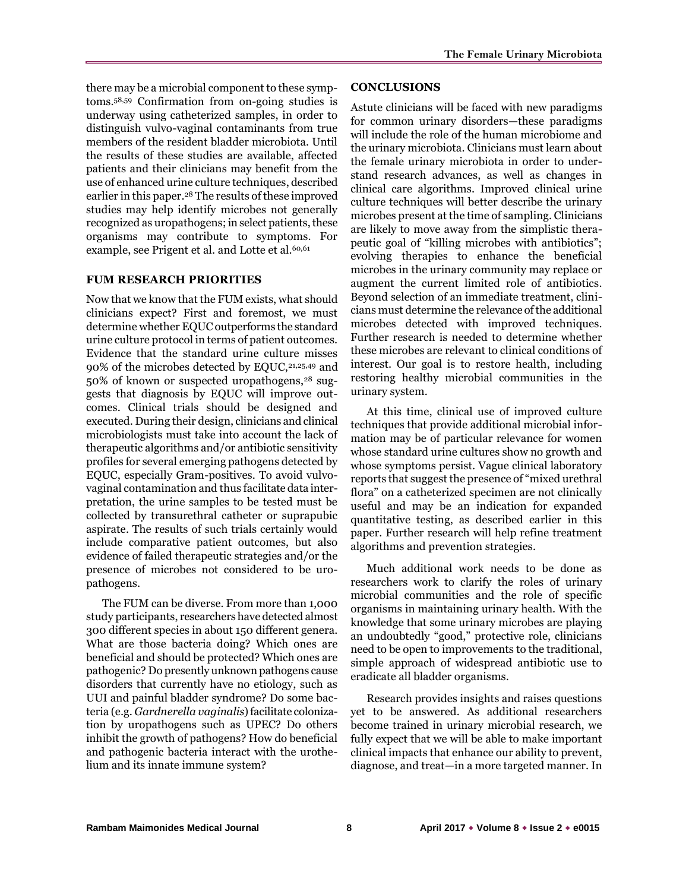there may be a microbial component to these symptoms.58,59 Confirmation from on-going studies is underway using catheterized samples, in order to distinguish vulvo-vaginal contaminants from true members of the resident bladder microbiota. Until the results of these studies are available, affected patients and their clinicians may benefit from the use of enhanced urine culture techniques, described earlier in this paper.<sup>28</sup> The results of these improved studies may help identify microbes not generally recognized as uropathogens; in select patients, these organisms may contribute to symptoms. For example, see Prigent et al. and Lotte et al.<sup>60,61</sup>

#### **FUM RESEARCH PRIORITIES**

Now that we know that the FUM exists, what should clinicians expect? First and foremost, we must determine whether EQUC outperforms the standard urine culture protocol in terms of patient outcomes. Evidence that the standard urine culture misses 90% of the microbes detected by EQUC,<sup>21,25,49</sup> and 50% of known or suspected uropathogens,<sup>28</sup> suggests that diagnosis by EQUC will improve outcomes. Clinical trials should be designed and executed. During their design, clinicians and clinical microbiologists must take into account the lack of therapeutic algorithms and/or antibiotic sensitivity profiles for several emerging pathogens detected by EQUC, especially Gram-positives. To avoid vulvovaginal contamination and thus facilitate data interpretation, the urine samples to be tested must be collected by transurethral catheter or suprapubic aspirate. The results of such trials certainly would include comparative patient outcomes, but also evidence of failed therapeutic strategies and/or the presence of microbes not considered to be uropathogens.

The FUM can be diverse. From more than 1,000 study participants, researchers have detected almost 300 different species in about 150 different genera. What are those bacteria doing? Which ones are beneficial and should be protected? Which ones are pathogenic? Do presently unknown pathogens cause disorders that currently have no etiology, such as UUI and painful bladder syndrome? Do some bacteria (e.g. *Gardnerella vaginalis*) facilitate colonization by uropathogens such as UPEC? Do others inhibit the growth of pathogens? How do beneficial and pathogenic bacteria interact with the urothelium and its innate immune system?

### **CONCLUSIONS**

Astute clinicians will be faced with new paradigms for common urinary disorders—these paradigms will include the role of the human microbiome and the urinary microbiota. Clinicians must learn about the female urinary microbiota in order to understand research advances, as well as changes in clinical care algorithms. Improved clinical urine culture techniques will better describe the urinary microbes present at the time of sampling. Clinicians are likely to move away from the simplistic therapeutic goal of "killing microbes with antibiotics"; evolving therapies to enhance the beneficial microbes in the urinary community may replace or augment the current limited role of antibiotics. Beyond selection of an immediate treatment, clinicians must determine the relevance of the additional microbes detected with improved techniques. Further research is needed to determine whether these microbes are relevant to clinical conditions of interest. Our goal is to restore health, including restoring healthy microbial communities in the urinary system.

At this time, clinical use of improved culture techniques that provide additional microbial information may be of particular relevance for women whose standard urine cultures show no growth and whose symptoms persist. Vague clinical laboratory reports that suggest the presence of "mixed urethral flora" on a catheterized specimen are not clinically useful and may be an indication for expanded quantitative testing, as described earlier in this paper. Further research will help refine treatment algorithms and prevention strategies.

Much additional work needs to be done as researchers work to clarify the roles of urinary microbial communities and the role of specific organisms in maintaining urinary health. With the knowledge that some urinary microbes are playing an undoubtedly "good," protective role, clinicians need to be open to improvements to the traditional, simple approach of widespread antibiotic use to eradicate all bladder organisms.

Research provides insights and raises questions yet to be answered. As additional researchers become trained in urinary microbial research, we fully expect that we will be able to make important clinical impacts that enhance our ability to prevent, diagnose, and treat—in a more targeted manner. In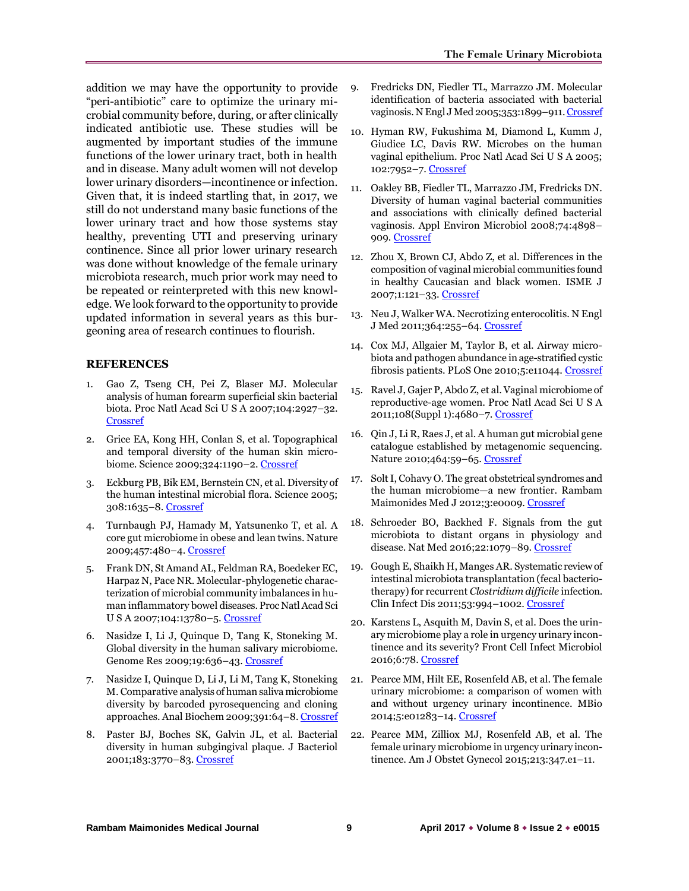addition we may have the opportunity to provide "peri-antibiotic" care to optimize the urinary microbial community before, during, or after clinically indicated antibiotic use. These studies will be augmented by important studies of the immune functions of the lower urinary tract, both in health and in disease. Many adult women will not develop lower urinary disorders—incontinence or infection. Given that, it is indeed startling that, in 2017, we still do not understand many basic functions of the lower urinary tract and how those systems stay healthy, preventing UTI and preserving urinary continence. Since all prior lower urinary research was done without knowledge of the female urinary microbiota research, much prior work may need to be repeated or reinterpreted with this new knowledge. We look forward to the opportunity to provide updated information in several years as this burgeoning area of research continues to flourish.

#### **REFERENCES**

- 1. Gao Z, Tseng CH, Pei Z, Blaser MJ. Molecular analysis of human forearm superficial skin bacterial biota. Proc Natl Acad Sci U S A 2007;104:2927–32. [Crossref](https://doi.org/10.1073/pnas.0607077104)
- 2. Grice EA, Kong HH, Conlan S, et al. Topographical and temporal diversity of the human skin micro-biome. Science 2009;324:1190-2[. Crossref](https://doi.org/10.1126/science.1171700)
- 3. Eckburg PB, Bik EM, Bernstein CN, et al. Diversity of the human intestinal microbial flora. Science 2005; 308:1635–8[. Crossref](https://doi.org/10.1126/science.1110591)
- 4. Turnbaugh PJ, Hamady M, Yatsunenko T, et al. A core gut microbiome in obese and lean twins. Nature 2009;457:480–4. [Crossref](https://doi.org/10.1038/nature07540)
- 5. Frank DN, St Amand AL, Feldman RA, Boedeker EC, Harpaz N, Pace NR. Molecular-phylogenetic characterization of microbial community imbalances in human inflammatory bowel diseases. Proc Natl Acad Sci U S A 2007;104:13780–5. [Crossref](https://doi.org/10.1073/pnas.0706625104)
- 6. Nasidze I, Li J, Quinque D, Tang K, Stoneking M. Global diversity in the human salivary microbiome. Genome Res 2009;19:636–43. [Crossref](https://doi.org/10.1101/gr.084616.108)
- 7. Nasidze I, Quinque D, Li J, Li M, Tang K, Stoneking M. Comparative analysis of human saliva microbiome diversity by barcoded pyrosequencing and cloning approaches. Anal Biochem 2009;391:64–8[. Crossref](https://doi.org/10.1016/j.ab.2009.04.034)
- 8. Paster BJ, Boches SK, Galvin JL, et al. Bacterial diversity in human subgingival plaque. J Bacteriol 2001;183:3770–83[. Crossref](https://doi.org/10.1128/JB.183.12.3770-3783.2001)
- 9. Fredricks DN, Fiedler TL, Marrazzo JM. Molecular identification of bacteria associated with bacterial vaginosis. N Engl J Med 2005;353:1899–911[. Crossref](https://doi.org/10.1056/NEJMoa043802)
- 10. Hyman RW, Fukushima M, Diamond L, Kumm J, Giudice LC, Davis RW. Microbes on the human vaginal epithelium. Proc Natl Acad Sci U S A 2005; 102:7952–7[. Crossref](https://doi.org/10.1073/pnas.0503236102)
- 11. Oakley BB, Fiedler TL, Marrazzo JM, Fredricks DN. Diversity of human vaginal bacterial communities and associations with clinically defined bacterial vaginosis. Appl Environ Microbiol 2008;74:4898– 909. [Crossref](https://doi.org/10.1128/AEM.02884-07)
- 12. Zhou X, Brown CJ, Abdo Z, et al. Differences in the composition of vaginal microbial communities found in healthy Caucasian and black women. ISME J 2007;1:121–33. [Crossref](https://doi.org/10.1038/ismej.2007.12)
- 13. Neu J, Walker WA. Necrotizing enterocolitis. N Engl J Med 2011;364:255–64[. Crossref](https://doi.org/10.1056/NEJMra1005408)
- 14. Cox MJ, Allgaier M, Taylor B, et al. Airway microbiota and pathogen abundance in age-stratified cystic fibrosis patients. PLoS One 2010;5:e11044. [Crossref](https://doi.org/10.1371/journal.pone.0011044)
- 15. Ravel J, Gajer P, Abdo Z, et al. Vaginal microbiome of reproductive-age women. Proc Natl Acad Sci U S A 2011;108(Suppl 1):4680–7. [Crossref](https://doi.org/10.1073/pnas.1002611107)
- 16. Qin J, Li R, Raes J, et al. A human gut microbial gene catalogue established by metagenomic sequencing. Nature 2010;464:59–65[. Crossref](https://doi.org/10.1038/nature08821)
- 17. Solt I, Cohavy O. The great obstetrical syndromes and the human microbiome—a new frontier. Rambam Maimonides Med J 2012;3:e0009. [Crossref](https://doi.org/10.5041/RMMJ.10076)
- 18. Schroeder BO, Backhed F. Signals from the gut microbiota to distant organs in physiology and disease. Nat Med 2016;22:1079–89. [Crossref](https://doi.org/10.1038/nm.4185)
- 19. Gough E, Shaikh H, Manges AR. Systematic review of intestinal microbiota transplantation (fecal bacteriotherapy) for recurrent *Clostridium difficile* infection. Clin Infect Dis 2011;53:994–1002[. Crossref](https://doi.org/10.1093/cid/cir632)
- 20. Karstens L, Asquith M, Davin S, et al. Does the urinary microbiome play a role in urgency urinary incontinence and its severity? Front Cell Infect Microbiol 2016;6:78[. Crossref](https://doi.org/10.3389/fcimb.2016.00078)
- 21. Pearce MM, Hilt EE, Rosenfeld AB, et al. The female urinary microbiome: a comparison of women with and without urgency urinary incontinence. MBio 2014;5:e01283–14. [Crossref](https://doi.org/10.1128/mBio.01283-14)
- 22. Pearce MM, Zilliox MJ, Rosenfeld AB, et al. The female urinary microbiome in urgency urinary incontinence. Am J Obstet Gynecol 2015;213:347.e1–11.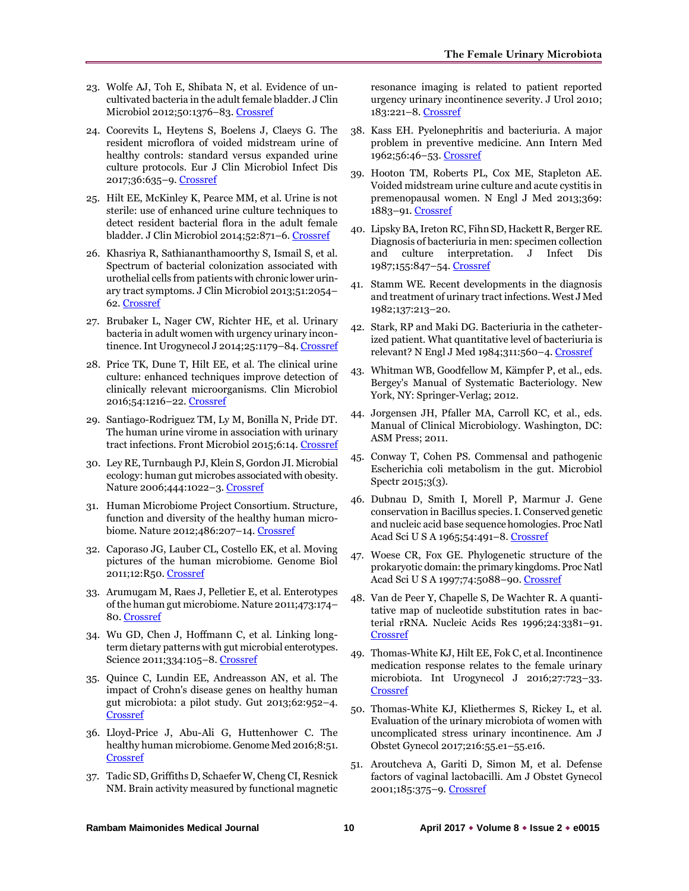- 23. Wolfe AJ, Toh E, Shibata N, et al. Evidence of uncultivated bacteria in the adult female bladder. J Clin Microbiol 2012;50:1376–83. [Crossref](https://doi.org/10.1128/JCM.05852-11)
- 24. Coorevits L, Heytens S, Boelens J, Claeys G. The resident microflora of voided midstream urine of healthy controls: standard versus expanded urine culture protocols. Eur J Clin Microbiol Infect Dis 2017;36:635–9[. Crossref](https://doi.org/10.1007/s10096-016-2839-x)
- 25. Hilt EE, McKinley K, Pearce MM, et al. Urine is not sterile: use of enhanced urine culture techniques to detect resident bacterial flora in the adult female bladder. J Clin Microbiol 2014;52:871–6. [Crossref](https://doi.org/10.1128/JCM.02876-13)
- 26. Khasriya R, Sathiananthamoorthy S, Ismail S, et al. Spectrum of bacterial colonization associated with urothelial cells from patients with chronic lower urinary tract symptoms. J Clin Microbiol 2013;51:2054– 62[. Crossref](https://doi.org/10.1128/JCM.03314-12)
- 27. Brubaker L, Nager CW, Richter HE, et al. Urinary bacteria in adult women with urgency urinary incon-tinence. Int Urogynecol J 2014;25:1179-84[. Crossref](https://doi.org/10.1007/s00192-013-2325-2)
- 28. Price TK, Dune T, Hilt EE, et al. The clinical urine culture: enhanced techniques improve detection of clinically relevant microorganisms. Clin Microbiol 2016;54:1216–22. [Crossref](https://doi.org/10.1128/JCM.00044-16)
- 29. Santiago-Rodriguez TM, Ly M, Bonilla N, Pride DT. The human urine virome in association with urinary tract infections. Front Microbiol 2015;6:14[. Crossref](https://doi.org/10.3389/fmicb.2015.00014)
- 30. Ley RE, Turnbaugh PJ, Klein S, Gordon JI. Microbial ecology: human gut microbes associated with obesity. Nature 2006;444:1022–3[. Crossref](https://doi.org/10.1038/4441022a)
- 31. Human Microbiome Project Consortium. Structure, function and diversity of the healthy human microbiome. Nature 2012;486:207–14. [Crossref](https://doi.org/10.1038/nature11234)
- 32. Caporaso JG, Lauber CL, Costello EK, et al. Moving pictures of the human microbiome. Genome Biol 2011;12:R50[. Crossref](https://doi.org/10.1186/gb-2011-12-5-r50)
- 33. Arumugam M, Raes J, Pelletier E, et al. Enterotypes of the human gut microbiome. Nature 2011;473:174– 80. [Crossref](https://doi.org/10.1038/nature09944)
- 34. Wu GD, Chen J, Hoffmann C, et al. Linking longterm dietary patterns with gut microbial enterotypes. Science 2011;334:105–8[. Crossref](https://doi.org/10.1126/science.1208344)
- 35. Quince C, Lundin EE, Andreasson AN, et al. The impact of Crohn's disease genes on healthy human gut microbiota: a pilot study. Gut 2013;62:952–4. [Crossref](https://doi.org/10.1136/gutjnl-2012-304214)
- 36. Lloyd-Price J, Abu-Ali G, Huttenhower C. The healthy human microbiome. Genome Med 2016;8:51. [Crossref](https://doi.org/10.1186/s13073-016-0307-y)
- 37. Tadic SD, Griffiths D, Schaefer W, Cheng CI, Resnick NM. Brain activity measured by functional magnetic

resonance imaging is related to patient reported urgency urinary incontinence severity. J Urol 2010; 183:221–8[. Crossref](https://doi.org/10.1016/j.juro.2009.08.155)

- 38. Kass EH. Pyelonephritis and bacteriuria. A major problem in preventive medicine. Ann Intern Med 1962;56:46–53[. Crossref](https://doi.org/10.7326/0003-4819-56-1-46)
- 39. Hooton TM, Roberts PL, Cox ME, Stapleton AE. Voided midstream urine culture and acute cystitis in premenopausal women. N Engl J Med 2013;369: 1883–91[. Crossref](https://doi.org/10.1056/NEJMoa1302186)
- 40. Lipsky BA, Ireton RC, Fihn SD, Hackett R, Berger RE. Diagnosis of bacteriuria in men: specimen collection and culture interpretation. J Infect Dis 1987;155:847–54[. Crossref](https://doi.org/10.1093/infdis/155.5.847)
- 41. Stamm WE. Recent developments in the diagnosis and treatment of urinary tract infections. West J Med 1982;137:213–20.
- 42. Stark, RP and Maki DG. Bacteriuria in the catheterized patient. What quantitative level of bacteriuria is relevant? N Engl J Med 1984;311:560–4[. Crossref](https://doi.org/10.1056/nejm198408303110903)
- 43. Whitman WB, Goodfellow M, Kämpfer P, et al., eds. Bergey's Manual of Systematic Bacteriology. New York, NY: Springer-Verlag; 2012.
- 44. Jorgensen JH, Pfaller MA, Carroll KC, et al., eds. Manual of Clinical Microbiology. Washington, DC: ASM Press; 2011.
- 45. Conway T, Cohen PS. Commensal and pathogenic Escherichia coli metabolism in the gut. Microbiol Spectr 2015;3(3).
- 46. Dubnau D, Smith I, Morell P, Marmur J. Gene conservation in Bacillus species. I. Conserved genetic and nucleic acid base sequence homologies. Proc Natl Acad Sci U S A 1965;54:491–8. [Crossref](https://doi.org/10.1073/pnas.54.2.491)
- 47. Woese CR, Fox GE. Phylogenetic structure of the prokaryotic domain: the primary kingdoms. Proc Natl Acad Sci U S A 1997;74:5088–90. [Crossref](https://doi.org/10.1073/pnas.74.11.5088)
- 48. Van de Peer Y, Chapelle S, De Wachter R. A quantitative map of nucleotide substitution rates in bacterial rRNA. Nucleic Acids Res 1996;24:3381–91. [Crossref](https://doi.org/10.1093/nar/24.17.3381)
- 49. Thomas-White KJ, Hilt EE, Fok C, et al. Incontinence medication response relates to the female urinary microbiota. Int Urogynecol J 2016;27:723–33. **[Crossref](https://doi.org/10.1007/s00192-015-2847-x)**
- 50. Thomas-White KJ, Kliethermes S, Rickey L, et al. Evaluation of the urinary microbiota of women with uncomplicated stress urinary incontinence. Am J Obstet Gynecol 2017;216:55.e1–55.e16.
- 51. Aroutcheva A, Gariti D, Simon M, et al. Defense factors of vaginal lactobacilli. Am J Obstet Gynecol 2001;185:375–9. [Crossref](https://doi.org/10.1067/mob.2001.115867)